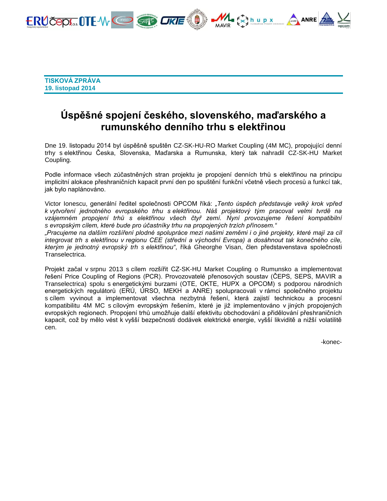

**TISKOVÁ ZPRÁVA 19. listopad 2014**

# **Úspěšné spojení českého, slovenského, maďarského a rumunského denního trhu s elektřinou**

Dne 19. listopadu 2014 byl úspěšně spuštěn CZ-SK-HU-RO Market Coupling (4M MC), propojující denní trhy s elektřinou Česka, Slovenska, Maďarska a Rumunska, který tak nahradil CZ-SK-HU Market Coupling.

Podle informace všech zúčastněných stran projektu je propojení denních trhů s elektřinou na principu implicitní alokace přeshraničních kapacit první den po spuštění funkční včetně všech procesů a funkcí tak, jak bylo naplánováno.

Victor Ionescu, generální ředitel společnosti OPCOM říká: *"Tento úspěch představuje velký krok vpřed k vytvoření jednotného evropského trhu s elektřinou. Náš projektový tým pracoval velmi tvrdě na vzájemném propojení trhů s elektřinou všech čtyř zemí. Nyní provozujeme řešení kompatibilní s evropským cílem, které bude pro účastníky trhu na propojených trzích přínosem."*

*"Pracujeme na dalším rozšíření plodné spolupráce mezi našimi zeměmi i o jiné projekty, které mají za cíl integrovat trh s elektřinou v regionu CEE (střední a východní Evropa) a dosáhnout tak konečného cíle, kterým je jednotný evropský trh s elektřinou"*, říká Gheorghe Visan, člen představenstava společnosti Transelectrica.

Projekt začal v srpnu 2013 s cílem rozšířit CZ-SK-HU Market Coupling o Rumunsko a implementovat řešení Price Coupling of Regions (PCR). Provozovatelé přenosových soustav (ČEPS, SEPS, MAVIR a Transelectrica) spolu s energetickými burzami (OTE, OKTE, HUPX a OPCOM) s podporou národních energetických regulátorů (ERÚ, ÚRSO, MEKH a ANRE) spolupracovali v rámci společného projektu s cílem vyvinout a implementovat všechna nezbytná řešení, která zajistí technickou a procesní kompatibilitu 4M MC s cílovým evropským řešením, které je již implementováno v jiných propojených evropských regionech. Propojení trhů umožňuje další efektivitu obchodování a přidělování přeshraničních kapacit, což by mělo vést k vyšší bezpečnosti dodávek elektrické energie, vyšší likviditě a nižší volatilitě cen.

-konec-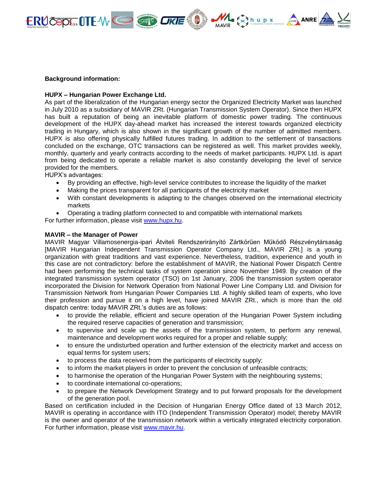

#### **Background information:**

#### **HUPX – Hungarian Power Exchange Ltd.**

As part of the liberalization of the Hungarian energy sector the Organized Electricity Market was launched in July 2010 as a subsidiary of MAVIR ZRt. (Hungarian Transmission System Operator). Since then HUPX has built a reputation of being an inevitable platform of domestic power trading. The continuous development of the HUPX day-ahead market has increased the interest towards organized electricity trading in Hungary, which is also shown in the significant growth of the number of admitted members. HUPX is also offering physically fulfilled futures trading. In addition to the settlement of transactions concluded on the exchange, OTC transactions can be registered as well. This market provides weekly, monthly, quarterly and yearly contracts according to the needs of market participants. HUPX Ltd. is apart from being dedicated to operate a reliable market is also constantly developing the level of service provided for the members.

HUPX's advantages:

- By providing an effective, high-level service contributes to increase the liquidity of the market
- Making the prices transparent for all participants of the electricity market
- With constant developments is adapting to the changes observed on the international electricity markets
- Operating a trading platform connected to and compatible with international markets

For further information, please visit [www.hupx.hu.](http://www.hupx.hu/)

# **MAVIR – the Manager of Power**

MAVIR Magyar Villamosenergia-ipari Átviteli Rendszerirányító Zártkörűen Működő Részvénytársaság [MAVIR Hungarian Independent Transmission Operator Company Ltd., MAVIR ZRt.] is a young organization with great traditions and vast experience. Nevertheless, tradition, experience and youth in this case are not contradictory: before the establishment of MAVIR, the National Power Dispatch Centre had been performing the technical tasks of system operation since November 1949. By creation of the integrated transmission system operator (TSO) on 1st January, 2006 the transmission system operator incorporated the Division for Network Operation from National Power Line Company Ltd. and Division for Transmission Network from Hungarian Power Companies Ltd. A highly skilled team of experts, who love their profession and pursue it on a high level, have joined MAVIR ZRt., which is more than the old dispatch centre: today MAVIR ZRt.'s duties are as follows:

- to provide the reliable, efficient and secure operation of the Hungarian Power System including the required reserve capacities of generation and transmission;
- to supervise and scale up the assets of the transmission system, to perform any renewal, maintenance and development works required for a proper and reliable supply;
- to ensure the undisturbed operation and further extension of the electricity market and access on equal terms for system users;
- to process the data received from the participants of electricity supply;
- to inform the market players in order to prevent the conclusion of unfeasible contracts;
- to harmonise the operation of the Hungarian Power System with the neighbouring systems;
- to coordinate international co-operations;
- to prepare the Network Development Strategy and to put forward proposals for the development of the generation pool.

Based on certification included in the Decision of Hungarian Energy Office dated of 13 March 2012, MAVIR is operating in accordance with ITO (Independent Transmission Operator) model; thereby MAVIR is the owner and operator of the transmission network within a vertically integrated electricity corporation. For further information, please visit [www.mavir.hu.](http://www.mavir.hu/web/mavir-en)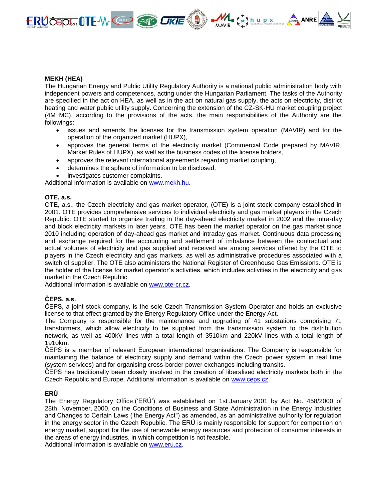

# **MEKH (HEA)**

The Hungarian Energy and Public Utility Regulatory Authority is a national public administration body with independent powers and competences, acting under the Hungarian Parliament. The tasks of the Authority are specified in the act on HEA, as well as in the act on natural gas supply, the acts on electricity, district heating and water public utility supply. Concerning the extension of the CZ-SK-HU market coupling project (4M MC), according to the provisions of the acts, the main responsibilities of the Authority are the followings:

- issues and amends the licenses for the transmission system operation (MAVIR) and for the operation of the organized market (HUPX),
- approves the general terms of the electricity market (Commercial Code prepared by MAVIR, Market Rules of HUPX), as well as the business codes of the license holders,
- approves the relevant international agreements regarding market coupling,
- determines the sphere of information to be disclosed,
- investigates customer complaints.

Additional information is available on [www.mekh.hu.](http://www.mekh.hu/)

# **OTE, a.s.**

OTE, a.s., the Czech electricity and gas market operator, (OTE) is a joint stock company established in 2001. OTE provides comprehensive services to individual electricity and gas market players in the Czech Republic. OTE started to organize trading in the day-ahead electricity market in 2002 and the intra-day and block electricity markets in later years. OTE has been the market operator on the gas market since 2010 including operation of day-ahead gas market and intraday gas market. Continuous data processing and exchange required for the accounting and settlement of imbalance between the contractual and actual volumes of electricity and gas supplied and received are among services offered by the OTE to players in the Czech electricity and gas markets, as well as administrative procedures associated with a switch of supplier. The OTE also administers the National Register of Greenhouse Gas Emissions. OTE is the holder of the license for market operator´s activities, which includes activities in the electricity and gas market in the Czech Republic.

Additional information is available on [www.ote-cr.cz.](http://www.ote-cr.cz/)

# **ČEPS, a.s.**

ČEPS, a joint stock company, is the sole Czech Transmission System Operator and holds an exclusive license to that effect granted by the Energy Regulatory Office under the Energy Act.

The Company is responsible for the maintenance and upgrading of 41 substations comprising 71 transformers, which allow electricity to be supplied from the transmission system to the distribution network, as well as 400kV lines with a total length of 3510km and 220kV lines with a total length of 1910km.

ČEPS is a member of relevant European international organisations. The Company is responsible for maintaining the balance of electricity supply and demand within the Czech power system in real time (system services) and for organising cross-border power exchanges including transits.

ČEPS has traditionally been closely involved in the creation of liberalised electricity markets both in the Czech Republic and Europe. Additional information is available on [www.ceps.cz.](http://www.ceps.cz/)

# **ERÚ**

The Energy Regulatory Office ('ERÚ') was established on 1st January 2001 by Act No. 458/2000 of 28th November, 2000, on the Conditions of Business and State Administration in the Energy Industries and Changes to Certain Laws ('the Energy Act") as amended, as an administrative authority for regulation in the energy sector in the Czech Republic. The ERÚ is mainly responsible for support for competition on energy market, support for the use of renewable energy resources and protection of consumer interests in the areas of energy industries, in which competition is not feasible.

Additional information is available on [www.eru.cz.](http://www.eru.cz/)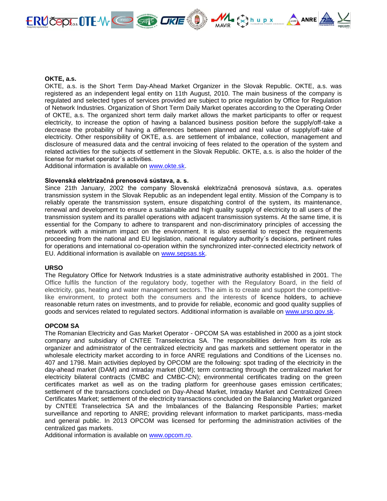

#### **OKTE, a.s.**

OKTE, a.s. is the Short Term Day-Ahead Market Organizer in the Slovak Republic. OKTE, a.s. was registered as an independent legal entity on 11th August, 2010. The main business of the company is regulated and selected types of services provided are subject to price regulation by Office for Regulation of Network Industries. Organization of Short Term Daily Market operates according to the Operating Order of OKTE, a.s. The organized short term daily market allows the market participants to offer or request electricity, to increase the option of having a balanced business position before the supply/off-take a decrease the probability of having a differences between planned and real value of supply/off-take of electricity. Other responsibility of OKTE, a.s. are settlement of imbalance, collection, management and disclosure of measured data and the central invoicing of fees related to the operation of the system and related activities for the subjects of settlement in the Slovak Republic. OKTE, a.s. is also the holder of the license for market operator´s activities.

Additional information is available on [www.okte.sk.](http://www.okte.sk/)

#### **Slovenská elektrizačná prenosová sústava, a. s.**

Since 21th January, 2002 the company Slovenská elektrizačná prenosová sústava, a.s. operates transmission system in the Slovak Republic as an independent legal entity. Mission of the Company is to reliably operate the transmission system, ensure dispatching control of the system, its maintenance, renewal and development to ensure a sustainable and high quality supply of electricity to all users of the transmission system and its parallel operations with adjacent transmission systems. At the same time, it is essential for the Company to adhere to transparent and non-discriminatory principles of accessing the network with a minimum impact on the environment. It is also essential to respect the requirements proceeding from the national and EU legislation, national regulatory authority´s decisions, pertinent rules for operations and international co-operation within the synchronized inter-connected electricity network of EU. Additional information is available on [www.sepsas.sk.](http://www.sepsas.sk/)

#### **URSO**

The Regulatory Office for Network Industries is a state administrative authority established in 2001. The Office fulfils the function of the regulatory body, together with the Regulatory Board, in the field of electricity, gas, heating and water management sectors. The aim is to create and support the competitivelike environment, to protect both the consumers and the interests of licence holders, to achieve reasonable return rates on investments, and to provide for reliable, economic and good quality supplies of goods and services related to regulated sectors. Additional information is available on [www.urso.gov.sk.](http://www.urso.gov.sk/)

# **OPCOM SA**

The Romanian Electricity and Gas Market Operator - OPCOM SA was established in 2000 as a joint stock company and subsidiary of CNTEE Transelectrica SA. The responsibilities derive from its role as organizer and administrator of the centralized electricity and gas markets and settlement operator in the wholesale electricity market according to in force ANRE regulations and Conditions of the Licenses no. 407 and 1798. Main activities deployed by OPCOM are the following: spot trading of the electricity in the day-ahead market (DAM) and intraday market (IDM); term contracting through the centralized market for electricity bilateral contracts (CMBC and CMBC-CN); environmental certificates trading on the green certificates market as well as on the trading platform for greenhouse gases emission certificates; settlement of the transactions concluded on Day-Ahead Market, Intraday Market and Centralized Green Certificates Market; settlement of the electricity transactions concluded on the Balancing Market organized by CNTEE Transelectrica SA and the Imbalances of the Balancing Responsible Parties; market surveillance and reporting to ANRE; providing relevant information to market participants, mass-media and general public. In 2013 OPCOM was licensed for performing the administration activities of the centralized gas markets.

Additional information is available on [www.opcom.ro.](http://www.opcom.ro/)